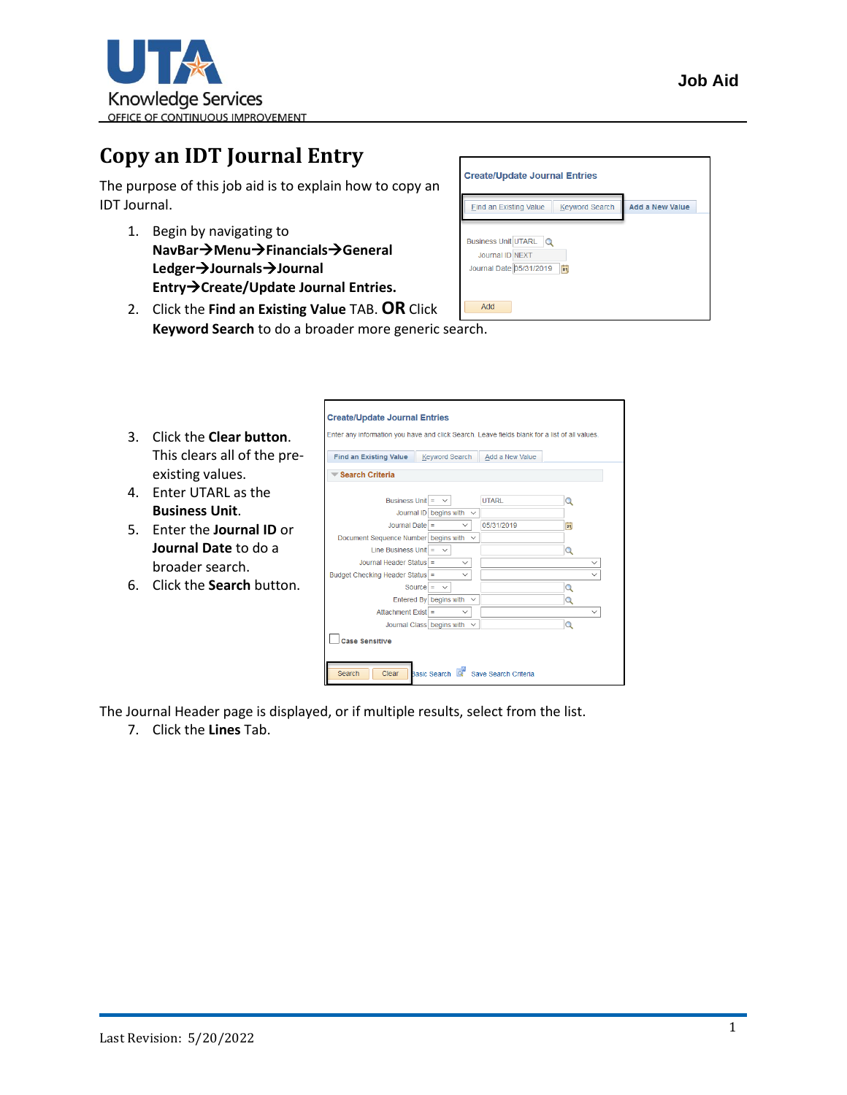

## **Copy an IDT Journal Entry**

The purpose of this job aid is to explain how to copy an IDT Journal.

- 1. Begin by navigating to **NavBar**→**Menu**→**Financials**→**General Ledger**→**Journals**→**Journal Entry**→**Create/Update Journal Entries.**
- 2. Click the **Find an Existing Value** TAB. **OR** Click **Keyword Search** to do a broader more generic search.

| <b>Create/Update Journal Entries</b>                                      |                        |
|---------------------------------------------------------------------------|------------------------|
| <b>Keyword Search</b><br>Find an Existing Value                           | <b>Add a New Value</b> |
| Business Unit UTARL Q<br>Journal ID NEXT<br>Journal Date 05/31/2019<br>BU |                        |
| Add                                                                       |                        |

|              |                                    | <b>Create/Update Journal Entries</b>                                                          |                                  |                      |                              |
|--------------|------------------------------------|-----------------------------------------------------------------------------------------------|----------------------------------|----------------------|------------------------------|
| 3.           | Click the <b>Clear button</b> .    | Enter any information you have and click Search. Leave fields blank for a list of all values. |                                  |                      |                              |
|              | This clears all of the pre-        | <b>Find an Existing Value</b>                                                                 | <b>Keyword Search</b>            | Add a New Value      |                              |
|              | existing values.                   | Search Criteria                                                                               |                                  |                      |                              |
| $\mathbf{4}$ | <b>Enter UTARL as the</b>          | Business Unit $=$                                                                             |                                  | <b>UTARI</b>         |                              |
|              | <b>Business Unit.</b>              |                                                                                               | Journal ID begins with $\sim$    |                      |                              |
|              | 5. Enter the <b>Journal ID</b> or  | Journal Date $=$                                                                              | $\checkmark$                     | 05/31/2019           | 間                            |
|              | Journal Date to do a               | Document Sequence Number begins with $\sim$<br>Line Business Unit = $\sim$                    |                                  |                      | $\Omega$                     |
|              | broader search.                    | Journal Header Status =                                                                       | $\checkmark$<br>$\checkmark$     |                      | $\checkmark$<br>$\checkmark$ |
|              | 6. Click the <b>Search</b> button. | Budget Checking Header Status =                                                               | Source = $\sim$                  |                      |                              |
|              |                                    |                                                                                               | Entered By begins with $\sim$    |                      |                              |
|              |                                    | Attachment Exist $=$                                                                          | $\checkmark$                     |                      | $\checkmark$                 |
|              |                                    |                                                                                               | Journal Class begins with $\sim$ |                      | $\Omega$                     |
|              |                                    | <b>Case Sensitive</b>                                                                         |                                  |                      |                              |
|              |                                    | Clear<br>Search                                                                               | Basic Search                     | Save Search Criteria |                              |

The Journal Header page is displayed, or if multiple results, select from the list.

7. Click the **Lines** Tab.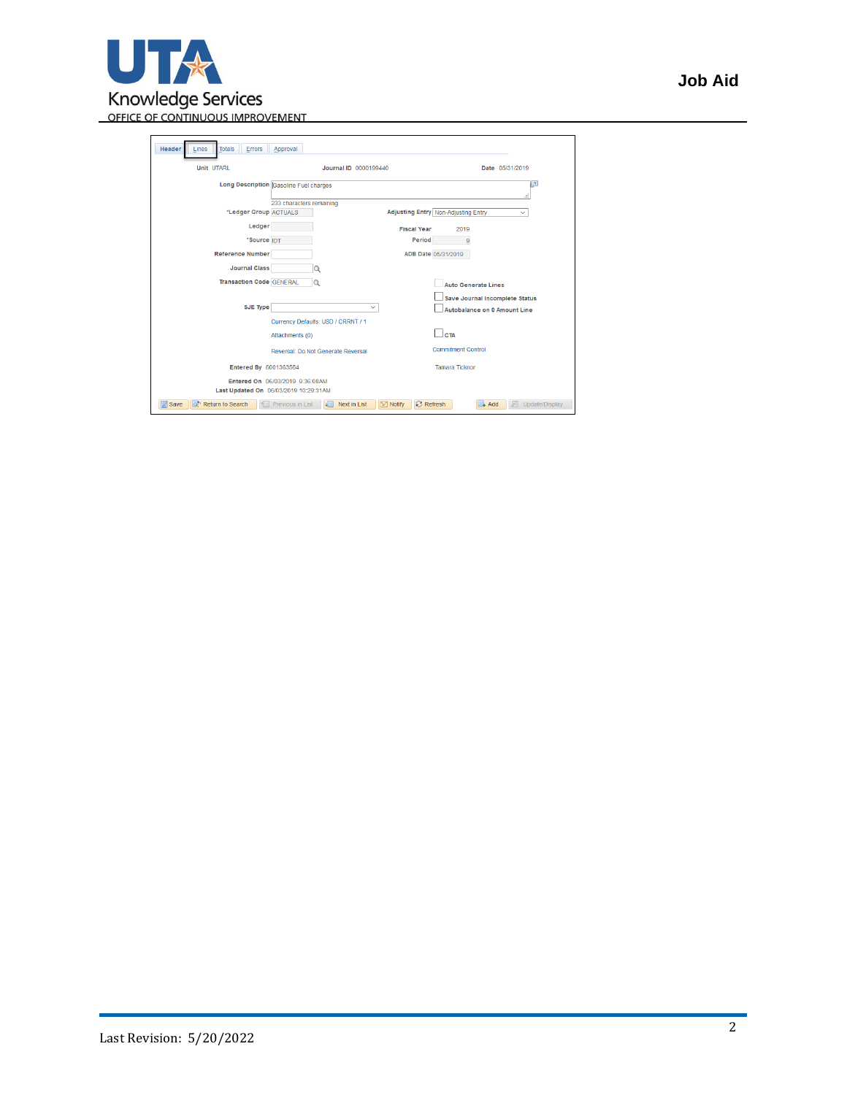

| Errors<br>Header<br><b>Totals</b><br>Lines       | Approval                                                                 |                                                                          |
|--------------------------------------------------|--------------------------------------------------------------------------|--------------------------------------------------------------------------|
| <b>Unit UTARL</b>                                | Journal ID 0000199440                                                    | Date 05/31/2019                                                          |
|                                                  | Long Description Gasoline Fuel charges                                   | Þ<br>.:i                                                                 |
|                                                  | 233 characters remaining                                                 |                                                                          |
| *Ledger Group ACTUALS                            |                                                                          | Adjusting Entry Non-Adjusting Entry<br>$\checkmark$                      |
| Ledger                                           |                                                                          | <b>Fiscal Year</b><br>2019                                               |
| *Source IDT                                      |                                                                          | Period<br>9                                                              |
| <b>Reference Number</b>                          |                                                                          | ADB Date 05/31/2019                                                      |
| <b>Journal Class</b>                             | $\Omega$                                                                 |                                                                          |
| <b>Transaction Code GENERAL</b>                  | $\mathbf Q$                                                              | <b>Auto Generate Lines</b>                                               |
|                                                  |                                                                          | Save Journal Incomplete Status                                           |
| <b>SJE Type</b>                                  | $\checkmark$                                                             | Autobalance on 0 Amount Line                                             |
|                                                  | Currency Defaults: USD / CRRNT / 1                                       |                                                                          |
|                                                  | Attachments (0)                                                          | <b>CTA</b>                                                               |
|                                                  | Reversal: Do Not Generate Reversal                                       | <b>Commitment Control</b>                                                |
| Entered By 6001363564                            |                                                                          | <b>Tamara Ticknor</b>                                                    |
|                                                  | Entered On 06/03/2019 9:36:08AM<br>Last Updated On 06/03/2019 10:29:31AM |                                                                          |
| <b>日</b> Save<br>o <sup>t</sup> Return to Search | Previous in List<br>ᆌ<br>Next in List                                    | E Notify<br><b>C</b> Refresh<br>$\rightarrow$ Add<br>胭<br>Update/Display |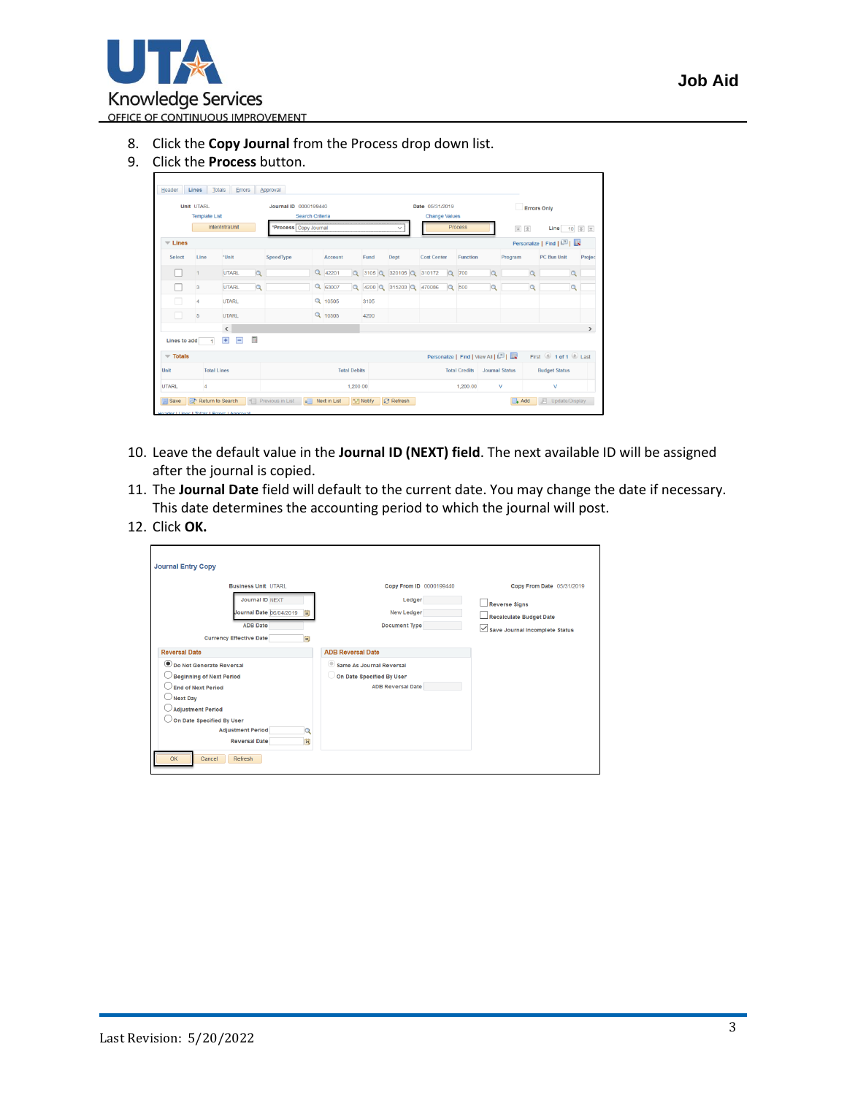

- 8. Click the **Copy Journal** from the Process drop down list.
- 9. Click the **Process** button.

| Unit UTARL                      |                      |                        |                         | <b>Journal ID 0000199440</b> |                 |         |                     | Date 05/31/2019 |                          |                                   | <b>Errors Only</b> |                       |          |                                       |               |  |  |
|---------------------------------|----------------------|------------------------|-------------------------|------------------------------|-----------------|---------|---------------------|-----------------|--------------------------|-----------------------------------|--------------------|-----------------------|----------|---------------------------------------|---------------|--|--|
|                                 | <b>Template List</b> |                        |                         |                              | Search Criteria |         |                     |                 |                          | <b>Change Values</b>              |                    |                       |          |                                       |               |  |  |
|                                 |                      | Inter/IntraUnit        |                         | *Process Copy Journal        |                 |         |                     |                 | $\checkmark$             |                                   | Process            |                       | 国金       | Line 10 $\overline{z}$ $\overline{z}$ |               |  |  |
| $\overline{\phantom{a}}$ Lines  |                      |                        |                         |                              |                 |         |                     |                 |                          |                                   |                    |                       |          | Personalize   Find   2                |               |  |  |
| Select                          | Line                 | *Unit                  |                         | SpeedType                    |                 | Account |                     | Fund            | Dept                     | <b>Cost Center</b>                | Function           |                       | Program  | PC Bus Unit                           | Projec        |  |  |
|                                 |                      | UTARL                  | $\alpha$                |                              |                 | Q 42201 |                     |                 | $Q$ 3105 $Q$ 320105 $Q$  | 310172<br>$\Omega$                | 700                | $\Omega$              | $\alpha$ | $\alpha$                              |               |  |  |
|                                 | $\sqrt{3}$           | <b>UTARL</b>           | $\alpha$                |                              |                 | Q 63007 |                     |                 | Q 4200 Q 315203 Q 470086 |                                   | Q 500              | $\alpha$              | $\alpha$ | $\alpha$                              |               |  |  |
|                                 | 4                    | <b>UTARL</b>           |                         |                              |                 | Q 10505 |                     | 3105            |                          |                                   |                    |                       |          |                                       |               |  |  |
|                                 | 5                    | <b>UTARL</b>           |                         |                              |                 | Q 10505 |                     | 4200            |                          |                                   |                    |                       |          |                                       |               |  |  |
|                                 |                      | $\langle$              |                         |                              |                 |         |                     |                 |                          |                                   |                    |                       |          |                                       | $\rightarrow$ |  |  |
| Lines to add                    | $\mathbf{1}$         | Ŧ<br>$\qquad \qquad =$ | $\overline{\mathbb{D}}$ |                              |                 |         |                     |                 |                          |                                   |                    |                       |          |                                       |               |  |  |
| $\overline{\phantom{a}}$ Totals |                      |                        |                         |                              |                 |         |                     |                 |                          | Personalize   Find   View All   2 |                    |                       |          | First 1 of 1 2 Last                   |               |  |  |
| Unit                            |                      | <b>Total Lines</b>     |                         |                              |                 |         | <b>Total Debits</b> |                 |                          | <b>Total Credits</b>              |                    | <b>Journal Status</b> |          | <b>Budget Status</b>                  |               |  |  |
| <b>UTARL</b>                    | $\overline{4}$       |                        |                         | 1,200.00                     |                 |         |                     |                 | 1,200.00                 |                                   |                    |                       |          | v<br>v                                |               |  |  |

- 10. Leave the default value in the **Journal ID (NEXT) field**. The next available ID will be assigned after the journal is copied.
- 11. The **Journal Date** field will default to the current date. You may change the date if necessary. This date determines the accounting period to which the journal will post.
- 12. Click **OK.**

| <b>Journal Entry Copy</b>                                                                                                                                                                                                                                     |                                                                                                                      |                                                                                                                       |
|---------------------------------------------------------------------------------------------------------------------------------------------------------------------------------------------------------------------------------------------------------------|----------------------------------------------------------------------------------------------------------------------|-----------------------------------------------------------------------------------------------------------------------|
| <b>Business Unit UTARL</b><br>Journal ID NEXT<br>Journal Date 06/04/2019<br>$\overline{31}$<br><b>ADB Date</b><br><b>Currency Effective Date</b><br>$ \mathbf{H} $                                                                                            | Copy From ID 0000199440<br>Ledger<br>New Ledger<br><b>Document Type</b>                                              | Copy From Date 05/31/2019<br><b>Reverse Signs</b><br><b>Recalculate Budget Date</b><br>Save Journal Incomplete Status |
| <b>Reversal Date</b><br>Do Not Generate Reversal<br>$\sqrt{}$ Beginning of Next Period<br>End of Next Period<br>$\cup$ Next Day<br>$\cup$ Adjustment Period<br>$\cup$ On Date Specified By User<br><b>Adjustment Period</b><br>Q<br>E<br><b>Reversal Date</b> | <b>ADB Reversal Date</b><br><b>Same As Journal Reversal</b><br>On Date Specified By User<br><b>ADB Reversal Date</b> |                                                                                                                       |
| Cancel<br>Refresh<br>OK                                                                                                                                                                                                                                       |                                                                                                                      |                                                                                                                       |